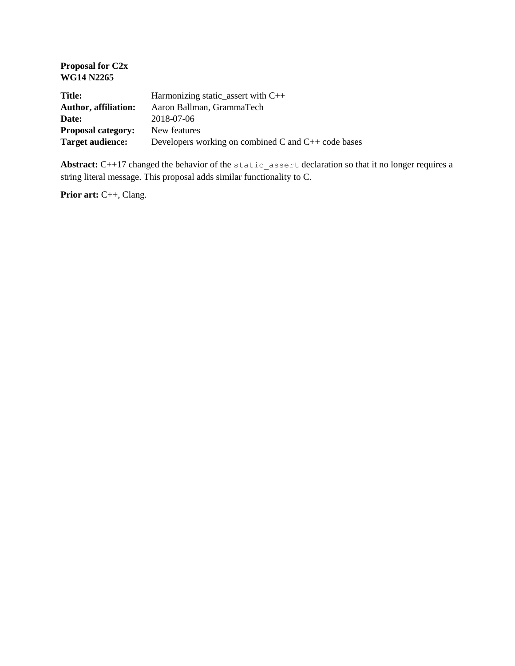| <b>Proposal for C2x</b><br><b>WG14 N2265</b> |                                                          |
|----------------------------------------------|----------------------------------------------------------|
| <b>Title:</b>                                | Harmonizing static_assert with C++                       |
| <b>Author, affiliation:</b>                  | Aaron Ballman, GrammaTech                                |
| Date:                                        | 2018-07-06                                               |
| <b>Proposal category:</b>                    | New features                                             |
| <b>Target audience:</b>                      | Developers working on combined C and $C_{++}$ code bases |

Abstract: C++17 changed the behavior of the static assert declaration so that it no longer requires a string literal message. This proposal adds similar functionality to C.

**Prior art:** C++, Clang.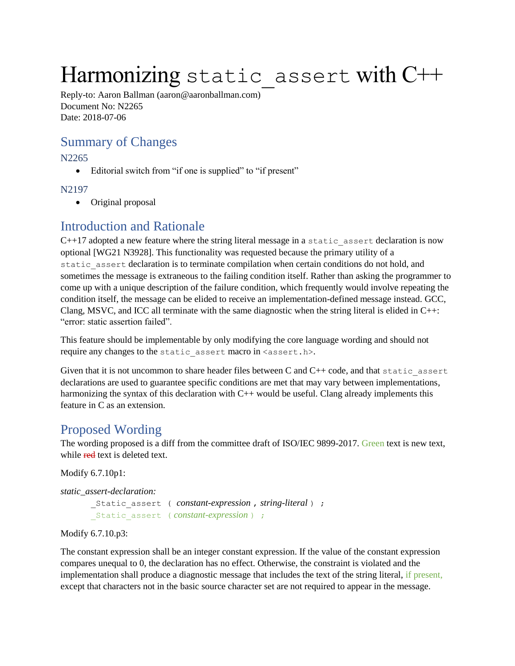# Harmonizing static assert with C++

Reply-to: Aaron Ballman (aaron@aaronballman.com) Document No: N2265 Date: 2018-07-06

### Summary of Changes

N2265

• Editorial switch from "if one is supplied" to "if present"

N2197

• Original proposal

#### Introduction and Rationale

C++17 adopted a new feature where the string literal message in a static\_assert declaration is now optional [WG21 N3928]. This functionality was requested because the primary utility of a static assert declaration is to terminate compilation when certain conditions do not hold, and sometimes the message is extraneous to the failing condition itself. Rather than asking the programmer to come up with a unique description of the failure condition, which frequently would involve repeating the condition itself, the message can be elided to receive an implementation-defined message instead. GCC, Clang, MSVC, and ICC all terminate with the same diagnostic when the string literal is elided in  $C_{++}$ : "error: static assertion failed".

This feature should be implementable by only modifying the core language wording and should not require any changes to the static assert macro in <assert.h>.

Given that it is not uncommon to share header files between  $C$  and  $C++$  code, and that static assert declarations are used to guarantee specific conditions are met that may vary between implementations, harmonizing the syntax of this declaration with C++ would be useful. Clang already implements this feature in C as an extension.

#### Proposed Wording

The wording proposed is a diff from the committee draft of ISO/IEC 9899-2017. Green text is new text, while red text is deleted text.

Modify 6.7.10p1:

*static\_assert-declaration:*

```
_Static_assert ( constant-expression , string-literal ) ;
_Static_assert ( constant-expression ) ;
```
#### Modify 6.7.10.p3:

The constant expression shall be an integer constant expression. If the value of the constant expression compares unequal to 0, the declaration has no effect. Otherwise, the constraint is violated and the implementation shall produce a diagnostic message that includes the text of the string literal, if present, except that characters not in the basic source character set are not required to appear in the message.